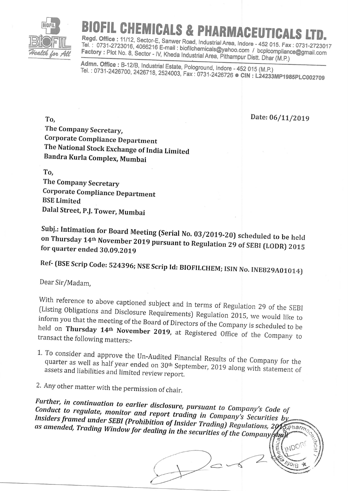

## FIL CHEMICALS & PHARMACEUTICA

Regd. Office: 11/12, Sector-E, Sanwer Road, Industrial Area, Indore - 452 015. Fax: 0731-2723017 Tel.: 0731-2723016, 4066216 E-mail: biofilchemicals@yahoo.com / bcplcompliance@gmail.com Factory: Plot No. 8, Sector - IV, Kheda Industrial Area, Pithampur Distt. Dhar (M.P.)

Admn. Office: B-12/B, Industrial Estate, Pologround, Indore - 452 015 (M.P.) Tel.: 0731-2426700, 2426718, 2524003, Fax: 0731-2426726 CIN: L24233MP1985PLC002709

Date: 06/11/2019

To. The Company Secretary, **Corporate Compliance Department** The National Stock Exchange of India Limited Bandra Kurla Complex, Mumbai

To, The Company Secretary **Corporate Compliance Department BSE** Limited Dalal Street, P.J. Tower, Mumbai

Subj.: Intimation for Board Meeting (Serial No. 03/2019-20) scheduled to be held on Thursday 14th November 2019 pursuant to Regulation 29 of SEBI (LODR) 2015 for quarter ended 30.09.2019

Ref- (BSE Scrip Code: 524396; NSE Scrip Id: BIOFILCHEM; ISIN No. INE829A01014)

Dear Sir/Madam,

With reference to above captioned subject and in terms of Regulation 29 of the SEBI (Listing Obligations and Disclosure Requirements) Regulation 2015, we would like to inform you that the meeting of the Board of Directors of the Company is scheduled to be held on Thursday 14th November 2019, at Registered Office of the Company to transact the following matters:-

1. To consider and approve the Un-Audited Financial Results of the Company for the quarter as well as half year ended on 30<sup>th</sup> September, 2019 along with statement of assets and liabilities and limited review report.

2. Any other matter with the permission of chair.

Further, in continuation to earlier disclosure, pursuant to Company's Code of Conduct to regulate, monitor and report trading in Company's Securities by Insiders framed under SEBI (Prohibition of Insider Trading) Regulations, 2015, Pharm as amended, Trading Window for dealing in the securities of the Company straft